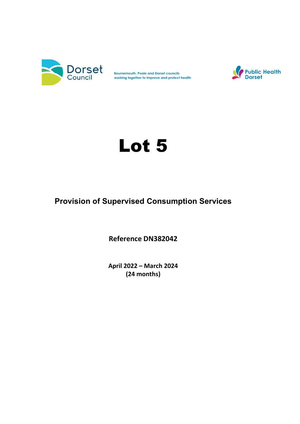

**Bournemouth, Poole and Dorset councils** working together to improve and protect health



# Lot 5

## Provision of Supervised Consumption Services

Reference DN382042

April 2022 – March 2024 (24 months)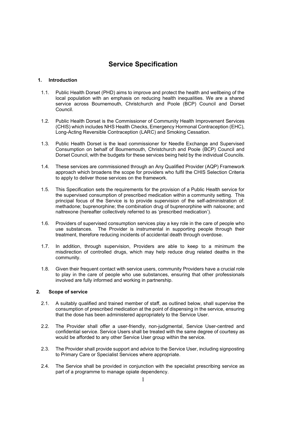## Service Specification

#### 1. Introduction

- 1.1. Public Health Dorset (PHD) aims to improve and protect the health and wellbeing of the local population with an emphasis on reducing health inequalities. We are a shared service across Bournemouth, Christchurch and Poole (BCP) Council and Dorset Council.
- 1.2. Public Health Dorset is the Commissioner of Community Health Improvement Services (CHIS) which includes NHS Health Checks, Emergency Hormonal Contraception (EHC), Long-Acting Reversible Contraception (LARC) and Smoking Cessation.
- 1.3. Public Health Dorset is the lead commissioner for Needle Exchange and Supervised Consumption on behalf of Bournemouth, Christchurch and Poole (BCP) Council and Dorset Council, with the budgets for these services being held by the individual Councils.
- 1.4. These services are commissioned through an Any Qualified Provider (AQP) Framework approach which broadens the scope for providers who fulfil the CHIS Selection Criteria to apply to deliver those services on the framework.
- 1.5. This Specification sets the requirements for the provision of a Public Health service for the supervised consumption of prescribed medication within a community setting. This principal focus of the Service is to provide supervision of the self-administration of: methadone; buprenorphine; the combination drug of buprenorphine with naloxone; and naltrexone (hereafter collectively referred to as 'prescribed medication').
- 1.6. Providers of supervised consumption services play a key role in the care of people who use substances. The Provider is instrumental in supporting people through their treatment, therefore reducing incidents of accidental death through overdose.
- 1.7. In addition, through supervision, Providers are able to keep to a minimum the misdirection of controlled drugs, which may help reduce drug related deaths in the community.
- 1.8. Given their frequent contact with service users, community Providers have a crucial role to play in the care of people who use substances, ensuring that other professionals involved are fully informed and working in partnership.

#### 2. Scope of service

- 2.1. A suitably qualified and trained member of staff, as outlined below, shall supervise the consumption of prescribed medication at the point of dispensing in the service, ensuring that the dose has been administered appropriately to the Service User.
- 2.2. The Provider shall offer a user-friendly, non-judgmental, Service User-centred and confidential service. Service Users shall be treated with the same degree of courtesy as would be afforded to any other Service User group within the service.
- 2.3. The Provider shall provide support and advice to the Service User, including signposting to Primary Care or Specialist Services where appropriate.
- 2.4. The Service shall be provided in conjunction with the specialist prescribing service as part of a programme to manage opiate dependency.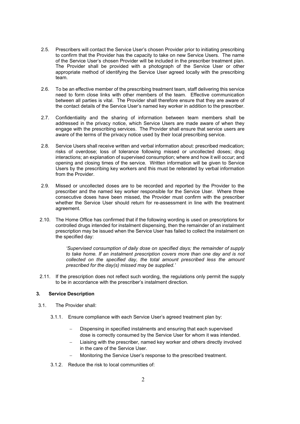- 2.5. Prescribers will contact the Service User's chosen Provider prior to initiating prescribing to confirm that the Provider has the capacity to take on new Service Users. The name of the Service User's chosen Provider will be included in the prescriber treatment plan. The Provider shall be provided with a photograph of the Service User or other appropriate method of identifying the Service User agreed locally with the prescribing team.
- 2.6. To be an effective member of the prescribing treatment team, staff delivering this service need to form close links with other members of the team. Effective communication between all parties is vital. The Provider shall therefore ensure that they are aware of the contact details of the Service User's named key worker in addition to the prescriber.
- 2.7. Confidentiality and the sharing of information between team members shall be addressed in the privacy notice, which Service Users are made aware of when they engage with the prescribing services. The Provider shall ensure that service users are aware of the terms of the privacy notice used by their local prescribing service.
- 2.8. Service Users shall receive written and verbal information about: prescribed medication; risks of overdose; loss of tolerance following missed or uncollected doses; drug interactions; an explanation of supervised consumption; where and how it will occur; and opening and closing times of the service. Written information will be given to Service Users by the prescribing key workers and this must be reiterated by verbal information from the Provider.
- 2.9. Missed or uncollected doses are to be recorded and reported by the Provider to the prescriber and the named key worker responsible for the Service User. Where three consecutive doses have been missed, the Provider must confirm with the prescriber whether the Service User should return for re-assessment in line with the treatment agreement.
- 2.10. The Home Office has confirmed that if the following wording is used on prescriptions for controlled drugs intended for instalment dispensing, then the remainder of an instalment prescription may be issued when the Service User has failed to collect the instalment on the specified day:

'Supervised consumption of daily dose on specified days; the remainder of supply to take home. If an instalment prescription covers more than one day and is not collected on the specified day, the total amount prescribed less the amount prescribed for the day(s) missed may be supplied.'

2.11. If the prescription does not reflect such wording, the regulations only permit the supply to be in accordance with the prescriber's instalment direction.

#### 3. Service Description

- 3.1. The Provider shall:
	- 3.1.1. Ensure compliance with each Service User's agreed treatment plan by:
		- Dispensing in specified instalments and ensuring that each supervised dose is correctly consumed by the Service User for whom it was intended.
		- Liaising with the prescriber, named key worker and others directly involved in the care of the Service User.
		- Monitoring the Service User's response to the prescribed treatment.
	- 3.1.2. Reduce the risk to local communities of: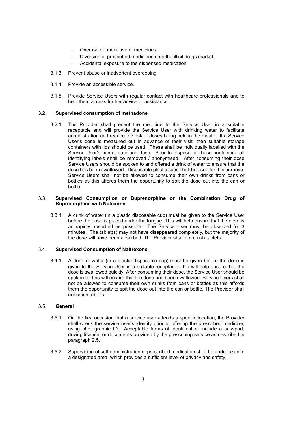- Overuse or under use of medicines.
- Diversion of prescribed medicines onto the illicit drugs market.
- Accidental exposure to the dispensed medication.
- 3.1.3. Prevent abuse or inadvertent overdosing.
- 3.1.4. Provide an accessible service.
- 3.1.5. Provide Service Users with regular contact with healthcare professionals and to help them access further advice or assistance.

#### 3.2. Supervised consumption of methadone

3.2.1. The Provider shall present the medicine to the Service User in a suitable receptacle and will provide the Service User with drinking water to facilitate administration and reduce the risk of doses being held in the mouth. If a Service User's dose is measured out in advance of their visit, then suitable storage containers with lids should be used. These shall be individually labelled with the Service User's name, date and dose. Prior to disposal of these containers, all identifying labels shall be removed / anonymised. After consuming their dose Service Users should be spoken to and offered a drink of water to ensure that the dose has been swallowed. Disposable plastic cups shall be used for this purpose. Service Users shall not be allowed to consume their own drinks from cans or bottles as this affords them the opportunity to spit the dose out into the can or bottle.

#### 3.3. Supervised Consumption or Buprenorphine or the Combination Drug of Buprenorphine with Naloxone

3.3.1. A drink of water (in a plastic disposable cup) must be given to the Service User before the dose is placed under the tongue. This will help ensure that the dose is as rapidly absorbed as possible. The Service User must be observed for 3 minutes. The tablet(s) may not have disappeared completely, but the majority of the dose will have been absorbed. The Provider shall not crush tablets.

#### 3.4. Supervised Consumption of Naltrexone

3.4.1. A drink of water (in a plastic disposable cup) must be given before the dose is given to the Service User in a suitable receptacle, this will help ensure that the dose is swallowed quickly. After consuming their dose, the Service User should be spoken to; this will ensure that the dose has been swallowed. Service Users shall not be allowed to consume their own drinks from cans or bottles as this affords them the opportunity to spit the dose out into the can or bottle. The Provider shall not crush tablets.

#### 3.5. General

- 3.5.1. On the first occasion that a service user attends a specific location, the Provider shall check the service user's identity prior to offering the prescribed medicine, using photographic ID. Acceptable forms of identification include a passport, driving licence, or documents provided by the prescribing service as described in paragraph 2.5.
- 3.5.2. Supervision of self-administration of prescribed medication shall be undertaken in a designated area, which provides a sufficient level of privacy and safety.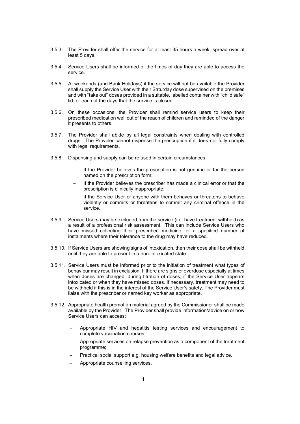- 3.5.3. The Provider shall offer the service for at least 35 hours a week, spread over at least 5 days.
- 3.5.4. Service Users shall be informed of the times of day they are able to access the service.
- 3.5.5. At weekends (and Bank Holidays) if the service will not be available the Provider shall supply the Service User with their Saturday dose supervised on the premises and with "take out" doses provided in a suitable, labelled container with "child safe" lid for each of the days that the service is closed.
- 3.5.6. On these occasions, the Provider shall remind service users to keep their prescribed medication well out of the reach of children and reminded of the danger it presents to others.
- 3.5.7. The Provider shall abide by all legal constraints when dealing with controlled drugs. The Provider cannot dispense the prescription if it does not fully comply with legal requirements.
- 3.5.8. Dispensing and supply can be refused in certain circumstances:
	- If the Provider believes the prescription is not genuine or for the person named on the prescription form;
	- If the Provider believes the prescriber has made a clinical error or that the prescription is clinically inappropriate;
	- If the Service User or anyone with them behaves or threatens to behave violently or commits or threatens to commit any criminal offence in the service.
- 3.5.9. Service Users may be excluded from the service (i.e. have treatment withheld) as a result of a professional risk assessment. This can include Service Users who have missed collecting their prescribed medicine for a specified number of instalments where their tolerance to the drug may have reduced.
- 3.5.10. If Service Users are showing signs of intoxication, then their dose shall be withheld until they are able to present in a non-intoxicated state.
- 3.5.11. Service Users must be informed prior to the initiation of treatment what types of behaviour may result in exclusion. If there are signs of overdose especially at times when doses are changed, during titration of doses, if the Service User appears intoxicated or when they have missed doses. If necessary, treatment may need to be withheld if this is in the interest of the Service User's safety. The Provider must liaise with the prescriber or named key worker as appropriate.
- 3.5.12. Appropriate health promotion material agreed by the Commissioner shall be made available by the Provider. The Provider shall provide information/advice on or how Service Users can access:
	- Appropriate HIV and hepatitis testing services and encouragement to complete vaccination courses;
	- Appropriate services on relapse prevention as a component of the treatment programme;
	- Practical social support e.g. housing welfare benefits and legal advice.
	- Appropriate counselling services.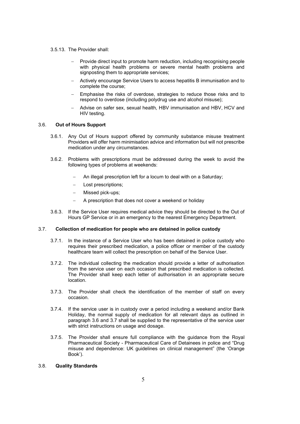- 3.5.13. The Provider shall:
	- Provide direct input to promote harm reduction, including recognising people with physical health problems or severe mental health problems and signposting them to appropriate services;
	- Actively encourage Service Users to access hepatitis B immunisation and to complete the course;
	- Emphasise the risks of overdose, strategies to reduce those risks and to respond to overdose (including polydrug use and alcohol misuse);
	- Advise on safer sex, sexual health, HBV immunisation and HBV, HCV and HIV testing.

#### 3.6. Out of Hours Support

- 3.6.1. Any Out of Hours support offered by community substance misuse treatment Providers will offer harm minimisation advice and information but will not prescribe medication under any circumstances.
- 3.6.2. Problems with prescriptions must be addressed during the week to avoid the following types of problems at weekends:
	- An illegal prescription left for a locum to deal with on a Saturday;
	- Lost prescriptions;
	- Missed pick-ups;
	- A prescription that does not cover a weekend or holiday
- 3.6.3. If the Service User requires medical advice they should be directed to the Out of Hours GP Service or in an emergency to the nearest Emergency Department.

#### 3.7. Collection of medication for people who are detained in police custody

- 3.7.1. In the instance of a Service User who has been detained in police custody who requires their prescribed medication, a police officer or member of the custody healthcare team will collect the prescription on behalf of the Service User.
- 3.7.2. The individual collecting the medication should provide a letter of authorisation from the service user on each occasion that prescribed medication is collected. The Provider shall keep each letter of authorisation in an appropriate secure location.
- 3.7.3. The Provider shall check the identification of the member of staff on every occasion.
- 3.7.4. If the service user is in custody over a period including a weekend and/or Bank Holiday, the normal supply of medication for all relevant days as outlined in paragraph 3.6 and 3.7 shall be supplied to the representative of the service user with strict instructions on usage and dosage.
- 3.7.5. The Provider shall ensure full compliance with the guidance from the Royal Pharmaceutical Society - Pharmaceutical Care of Detainees in police and "Drug misuse and dependence: UK guidelines on clinical management" (the 'Orange Book').

#### 3.8. Quality Standards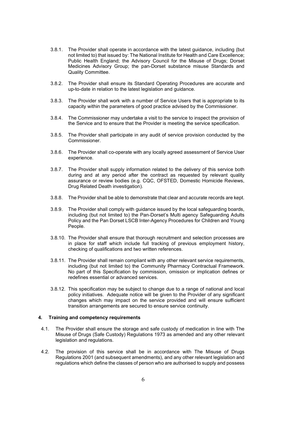- 3.8.1. The Provider shall operate in accordance with the latest guidance, including (but not limited to) that issued by: The National Institute for Health and Care Excellence; Public Health England; the Advisory Council for the Misuse of Drugs; Dorset Medicines Advisory Group; the pan-Dorset substance misuse Standards and Quality Committee.
- 3.8.2. The Provider shall ensure its Standard Operating Procedures are accurate and up-to-date in relation to the latest legislation and guidance.
- 3.8.3. The Provider shall work with a number of Service Users that is appropriate to its capacity within the parameters of good practice advised by the Commissioner.
- 3.8.4. The Commissioner may undertake a visit to the service to inspect the provision of the Service and to ensure that the Provider is meeting the service specification.
- 3.8.5. The Provider shall participate in any audit of service provision conducted by the Commissioner.
- 3.8.6. The Provider shall co-operate with any locally agreed assessment of Service User experience.
- 3.8.7. The Provider shall supply information related to the delivery of this service both during and at any period after the contract as requested by relevant quality assurance or review bodies (e.g. CQC, OFSTED, Domestic Homicide Reviews, Drug Related Death investigation).
- 3.8.8. The Provider shall be able to demonstrate that clear and accurate records are kept.
- 3.8.9. The Provider shall comply with guidance issued by the local safeguarding boards, including (but not limited to) the Pan-Dorset's Multi agency Safeguarding Adults Policy and the Pan Dorset LSCB Inter-Agency Procedures for Children and Young People.
- 3.8.10. The Provider shall ensure that thorough recruitment and selection processes are in place for staff which include full tracking of previous employment history, checking of qualifications and two written references.
- 3.8.11. The Provider shall remain compliant with any other relevant service requirements, including (but not limited to) the Community Pharmacy Contractual Framework. No part of this Specification by commission, omission or implication defines or redefines essential or advanced services.
- 3.8.12. This specification may be subject to change due to a range of national and local policy initiatives. Adequate notice will be given to the Provider of any significant changes which may impact on the service provided and will ensure sufficient transition arrangements are secured to ensure service continuity.

#### 4. Training and competency requirements

- 4.1. The Provider shall ensure the storage and safe custody of medication in line with The Misuse of Drugs (Safe Custody) Regulations 1973 as amended and any other relevant legislation and regulations.
- 4.2. The provision of this service shall be in accordance with The Misuse of Drugs Regulations 2001 (and subsequent amendments), and any other relevant legislation and regulations which define the classes of person who are authorised to supply and possess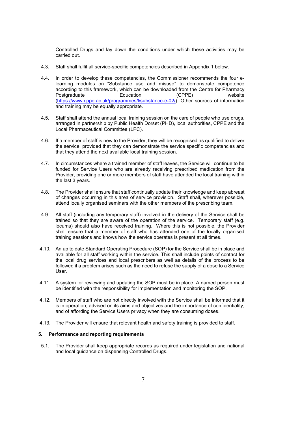Controlled Drugs and lay down the conditions under which these activities may be carried out.

- 4.3. Staff shall fulfil all service-specific competencies described in Appendix 1 below.
- 4.4. In order to develop these competencies, the Commissioner recommends the four elearning modules on "Substance use and misuse" to demonstrate competence according to this framework, which can be downloaded from the Centre for Pharmacy Postgraduate Education (CPPE) website (https://www.cppe.ac.uk/programmes/l/substance-e-02/). Other sources of information and training may be equally appropriate.
- 4.5. Staff shall attend the annual local training session on the care of people who use drugs, arranged in partnership by Public Health Dorset (PHD), local authorities, CPPE and the Local Pharmaceutical Committee (LPC).
- 4.6. If a member of staff is new to the Provider, they will be recognised as qualified to deliver the service, provided that they can demonstrate the service specific competencies and that they attend the next available local training session.
- 4.7. In circumstances where a trained member of staff leaves, the Service will continue to be funded for Service Users who are already receiving prescribed medication from the Provider, providing one or more members of staff have attended the local training within the last 3 years.
- 4.8. The Provider shall ensure that staff continually update their knowledge and keep abreast of changes occurring in this area of service provision. Staff shall, wherever possible, attend locally organised seminars with the other members of the prescribing team.
- 4.9. All staff (including any temporary staff) involved in the delivery of the Service shall be trained so that they are aware of the operation of the service. Temporary staff (e.g. locums) should also have received training. Where this is not possible, the Provider shall ensure that a member of staff who has attended one of the locally organised training sessions and knows how the service operates is present at all times.
- 4.10. An up to date Standard Operating Procedure (SOP) for the Service shall be in place and available for all staff working within the service. This shall include points of contact for the local drug services and local prescribers as well as details of the process to be followed if a problem arises such as the need to refuse the supply of a dose to a Service User.
- 4.11. A system for reviewing and updating the SOP must be in place. A named person must be identified with the responsibility for implementation and monitoring the SOP.
- 4.12. Members of staff who are not directly involved with the Service shall be informed that it is in operation, advised on its aims and objectives and the importance of confidentiality, and of affording the Service Users privacy when they are consuming doses.
- 4.13. The Provider will ensure that relevant health and safety training is provided to staff.

#### 5. Performance and reporting requirements

5.1. The Provider shall keep appropriate records as required under legislation and national and local guidance on dispensing Controlled Drugs.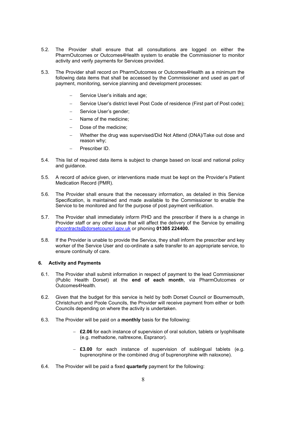- 5.2. The Provider shall ensure that all consultations are logged on either the PharmOutcomes or Outcomes4Health system to enable the Commissioner to monitor activity and verify payments for Services provided.
- 5.3. The Provider shall record on PharmOutcomes or Outcomes4Health as a minimum the following data items that shall be accessed by the Commissioner and used as part of payment, monitoring, service planning and development processes:
	- Service User's initials and age;
	- Service User's district level Post Code of residence (First part of Post code);
	- Service User's gender;
	- Name of the medicine;
	- Dose of the medicine;
	- Whether the drug was supervised/Did Not Attend (DNA)/Take out dose and reason why;
	- Prescriber ID.
- 5.4. This list of required data items is subject to change based on local and national policy and guidance.
- 5.5. A record of advice given, or interventions made must be kept on the Provider's Patient Medication Record (PMR).
- 5.6. The Provider shall ensure that the necessary information, as detailed in this Service Specification, is maintained and made available to the Commissioner to enable the Service to be monitored and for the purpose of post payment verification.
- 5.7. The Provider shall immediately inform PHD and the prescriber if there is a change in Provider staff or any other issue that will affect the delivery of the Service by emailing phcontracts@dorsetcouncil.gov.uk or phoning 01305 224400.
- 5.8. If the Provider is unable to provide the Service, they shall inform the prescriber and key worker of the Service User and co-ordinate a safe transfer to an appropriate service, to ensure continuity of care.

#### 6. Activity and Payments

- 6.1. The Provider shall submit information in respect of payment to the lead Commissioner (Public Health Dorset) at the end of each month, via PharmOutcomes or Outcomes4Health.
- 6.2. Given that the budget for this service is held by both Dorset Council or Bournemouth, Christchurch and Poole Councils, the Provider will receive payment from either or both Councils depending on where the activity is undertaken.
- 6.3. The Provider will be paid on a monthly basis for the following:
	- $-$  £2.06 for each instance of supervision of oral solution, tablets or lyophilisate (e.g. methadone, naltrexone, Espranor).
	- $-$  £3.00 for each instance of supervision of sublingual tablets (e.g. buprenorphine or the combined drug of buprenorphine with naloxone).
- 6.4. The Provider will be paid a fixed quarterly payment for the following: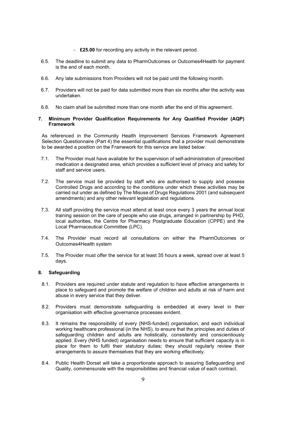- $-$  £25.00 for recording any activity in the relevant period.
- 6.5. The deadline to submit any data to PharmOutcomes or Outcomes4Health for payment is the end of each month.
- 6.6. Any late submissions from Providers will not be paid until the following month.
- 6.7. Providers will not be paid for data submitted more than six months after the activity was undertaken.
- 6.8. No claim shall be submitted more than one month after the end of this agreement.

#### 7. Minimum Provider Qualification Requirements for Any Qualified Provider (AQP) Framework

As referenced in the Community Health Improvement Services Framework Agreement Selection Questionnaire (Part 4) the essential qualifications that a provider must demonstrate to be awarded a position on the Framework for this service are listed below:

- 7.1. The Provider must have available for the supervision of self-administration of prescribed medication a designated area, which provides a sufficient level of privacy and safety for staff and service users.
- 7.2. The service must be provided by staff who are authorised to supply and possess Controlled Drugs and according to the conditions under which these activities may be carried out under as defined by The Misuse of Drugs Regulations 2001 (and subsequent amendments) and any other relevant legislation and regulations.
- 7.3. All staff providing the service must attend at least once every 3 years the annual local training session on the care of people who use drugs, arranged in partnership by PHD, local authorities, the Centre for Pharmacy Postgraduate Education (CPPE) and the Local Pharmaceutical Committee (LPC).
- 7.4. The Provider must record all consultations on either the PharmOutcomes or Outcomes4Health system
- 7.5. The Provider must offer the service for at least 35 hours a week, spread over at least 5 days.

#### 8. Safeguarding

- 8.1. Providers are required under statute and regulation to have effective arrangements in place to safeguard and promote the welfare of children and adults at risk of harm and abuse in every service that they deliver.
- 8.2. Providers must demonstrate safeguarding is embedded at every level in their organisation with effective governance processes evident.
- 8.3. It remains the responsibility of every (NHS-funded) organisation, and each individual working healthcare professional (in the NHS), to ensure that the principles and duties of safeguarding children and adults are holistically, consistently and conscientiously applied. Every (NHS funded) organisation needs to ensure that sufficient capacity is in place for them to fulfil their statutory duties; they should regularly review their arrangements to assure themselves that they are working effectively.
- 8.4. Public Health Dorset will take a proportionate approach to assuring Safeguarding and Quality, commensurate with the responsibilities and financial value of each contract.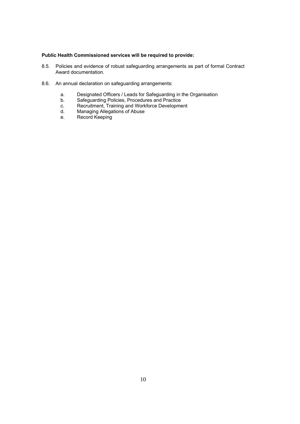#### Public Health Commissioned services will be required to provide:

- 8.5. Policies and evidence of robust safeguarding arrangements as part of formal Contract Award documentation.
- 8.6. An annual declaration on safeguarding arrangements:
	- a. Designated Officers / Leads for Safeguarding in the Organisation
	- b. Safeguarding Policies, Procedures and Practice
	- c. Recruitment, Training and Workforce Development
	- d. Managing Allegations of Abuse
	- e. Record Keeping